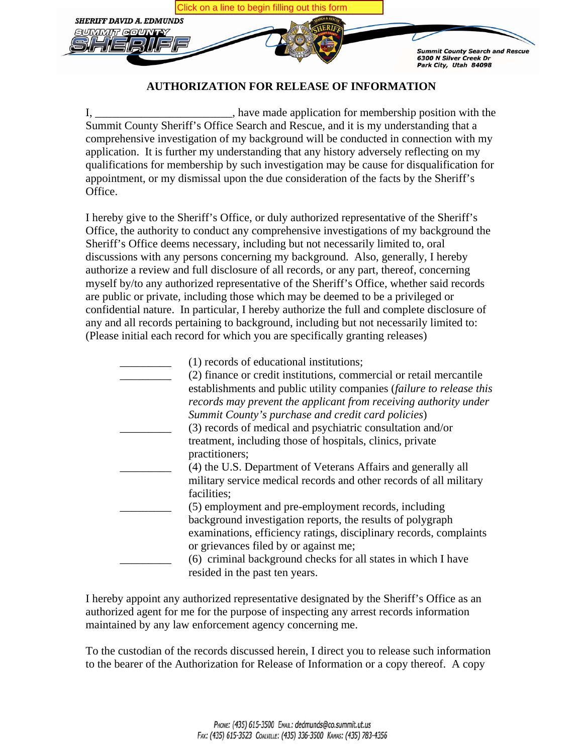

#### **AUTHORIZATION FOR RELEASE OF INFORMATION**

I, have made application for membership position with the Summit County Sheriff's Office Search and Rescue, and it is my understanding that a comprehensive investigation of my background will be conducted in connection with my application. It is further my understanding that any history adversely reflecting on my qualifications for membership by such investigation may be cause for disqualification for appointment, or my dismissal upon the due consideration of the facts by the Sheriff's Office.

I hereby give to the Sheriff's Office, or duly authorized representative of the Sheriff's Office, the authority to conduct any comprehensive investigations of my background the Sheriff's Office deems necessary, including but not necessarily limited to, oral discussions with any persons concerning my background. Also, generally, I hereby authorize a review and full disclosure of all records, or any part, thereof, concerning myself by/to any authorized representative of the Sheriff's Office, whether said records are public or private, including those which may be deemed to be a privileged or confidential nature. In particular, I hereby authorize the full and complete disclosure of any and all records pertaining to background, including but not necessarily limited to: (Please initial each record for which you are specifically granting releases)

| (1) records of educational institutions;                             |
|----------------------------------------------------------------------|
| (2) finance or credit institutions, commercial or retail mercantile  |
| establishments and public utility companies (failure to release this |
| records may prevent the applicant from receiving authority under     |
| Summit County's purchase and credit card policies)                   |
| (3) records of medical and psychiatric consultation and/or           |
| treatment, including those of hospitals, clinics, private            |
| practitioners;                                                       |
| (4) the U.S. Department of Veterans Affairs and generally all        |
| military service medical records and other records of all military   |
| facilities;                                                          |
| (5) employment and pre-employment records, including                 |
| background investigation reports, the results of polygraph           |
| examinations, efficiency ratings, disciplinary records, complaints   |
| or grievances filed by or against me;                                |
| (6) criminal background checks for all states in which I have        |
| resided in the past ten years.                                       |

I hereby appoint any authorized representative designated by the Sheriff's Office as an authorized agent for me for the purpose of inspecting any arrest records information maintained by any law enforcement agency concerning me.

To the custodian of the records discussed herein, I direct you to release such information to the bearer of the Authorization for Release of Information or a copy thereof. A copy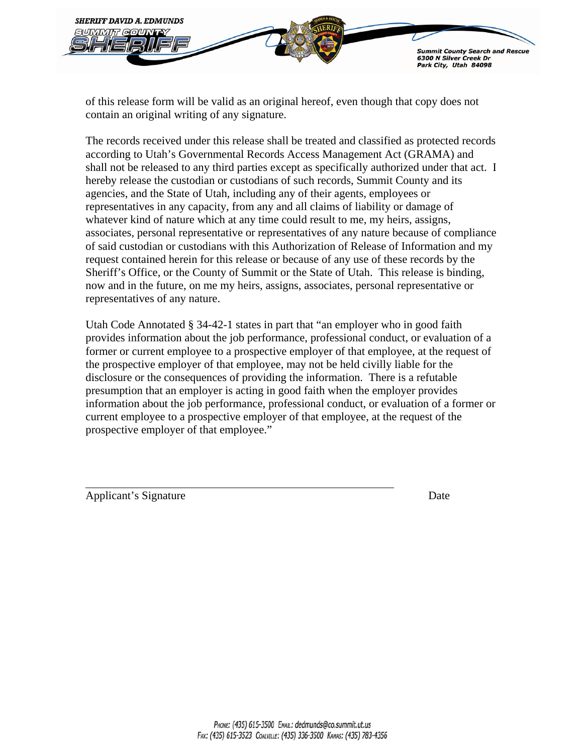

of this release form will be valid as an original hereof, even though that copy does not contain an original writing of any signature.

The records received under this release shall be treated and classified as protected records according to Utah's Governmental Records Access Management Act (GRAMA) and shall not be released to any third parties except as specifically authorized under that act. I hereby release the custodian or custodians of such records, Summit County and its agencies, and the State of Utah, including any of their agents, employees or representatives in any capacity, from any and all claims of liability or damage of whatever kind of nature which at any time could result to me, my heirs, assigns, associates, personal representative or representatives of any nature because of compliance of said custodian or custodians with this Authorization of Release of Information and my request contained herein for this release or because of any use of these records by the Sheriff's Office, or the County of Summit or the State of Utah. This release is binding, now and in the future, on me my heirs, assigns, associates, personal representative or representatives of any nature.

Utah Code Annotated § 34-42-1 states in part that "an employer who in good faith provides information about the job performance, professional conduct, or evaluation of a former or current employee to a prospective employer of that employee, at the request of the prospective employer of that employee, may not be held civilly liable for the disclosure or the consequences of providing the information. There is a refutable presumption that an employer is acting in good faith when the employer provides information about the job performance, professional conduct, or evaluation of a former or current employee to a prospective employer of that employee, at the request of the prospective employer of that employee."

Applicant's Signature Date Date Date Date Date

 $\overline{a}$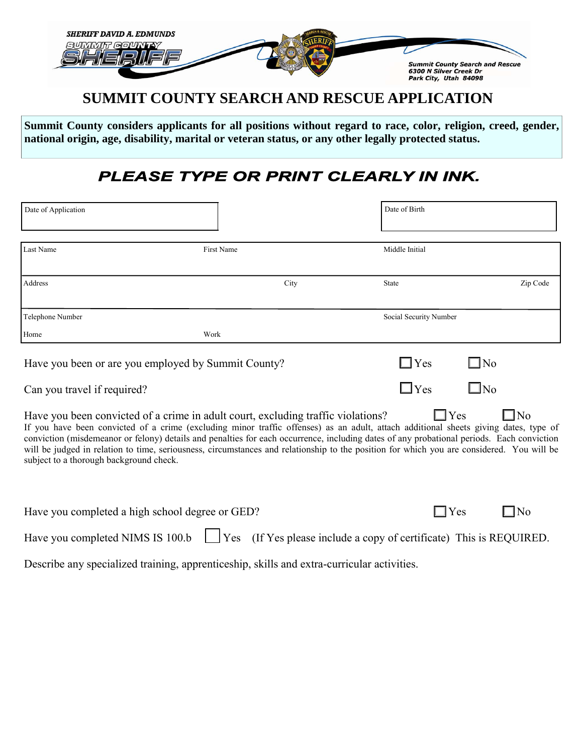

## **SUMMIT COUNTY SEARCH AND RESCUE APPLICATION**

**Summit County considers applicants for all positions without regard to race, color, religion, creed, gender, national origin, age, disability, marital or veteran status, or any other legally protected status.** 

# PLEASE TYPE OR PRINT CLEARLY IN INK.

| Date of Application                                                                                                                                                                                                                                                                                                                                                                                                                                                                                                                                                                           |                   | Date of Birth          |              |  |  |
|-----------------------------------------------------------------------------------------------------------------------------------------------------------------------------------------------------------------------------------------------------------------------------------------------------------------------------------------------------------------------------------------------------------------------------------------------------------------------------------------------------------------------------------------------------------------------------------------------|-------------------|------------------------|--------------|--|--|
| Last Name                                                                                                                                                                                                                                                                                                                                                                                                                                                                                                                                                                                     | <b>First Name</b> | Middle Initial         |              |  |  |
| Address                                                                                                                                                                                                                                                                                                                                                                                                                                                                                                                                                                                       | City              | State                  | Zip Code     |  |  |
| Telephone Number                                                                                                                                                                                                                                                                                                                                                                                                                                                                                                                                                                              |                   | Social Security Number |              |  |  |
| Home<br>Work                                                                                                                                                                                                                                                                                                                                                                                                                                                                                                                                                                                  |                   |                        |              |  |  |
| Have you been or are you employed by Summit County?                                                                                                                                                                                                                                                                                                                                                                                                                                                                                                                                           |                   | $\Box$ Yes             | $\Box$ No    |  |  |
| Can you travel if required?                                                                                                                                                                                                                                                                                                                                                                                                                                                                                                                                                                   |                   | $\Box$ Yes             | $\square$ No |  |  |
| $\Box$ Yes<br>Have you been convicted of a crime in adult court, excluding traffic violations?<br>N <sub>0</sub><br>If you have been convicted of a crime (excluding minor traffic offenses) as an adult, attach additional sheets giving dates, type of<br>conviction (misdemeanor or felony) details and penalties for each occurrence, including dates of any probational periods. Each conviction<br>will be judged in relation to time, seriousness, circumstances and relationship to the position for which you are considered. You will be<br>subject to a thorough background check. |                   |                        |              |  |  |

| Have you completed a high school degree or GED?                                                             |  | N <sub>0</sub> |
|-------------------------------------------------------------------------------------------------------------|--|----------------|
| Have you completed NIMS IS 100.b $\Box$ Yes (If Yes please include a copy of certificate) This is REQUIRED. |  |                |

Describe any specialized training, apprenticeship, skills and extra-curricular activities.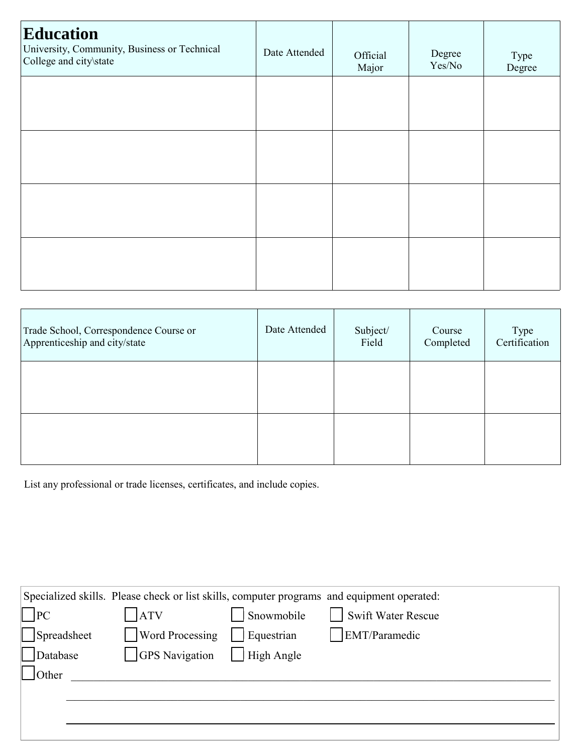| <b>Education</b><br>University, Community, Business or Technical<br>College and city\state | Date Attended | Official<br>Major | Degree<br>Yes/No | Type<br>Degree |
|--------------------------------------------------------------------------------------------|---------------|-------------------|------------------|----------------|
|                                                                                            |               |                   |                  |                |
|                                                                                            |               |                   |                  |                |
|                                                                                            |               |                   |                  |                |
|                                                                                            |               |                   |                  |                |

| Trade School, Correspondence Course or<br>Apprenticeship and city/state | Date Attended | Subject/<br>Field | Course<br>Completed | Type<br>Certification |
|-------------------------------------------------------------------------|---------------|-------------------|---------------------|-----------------------|
|                                                                         |               |                   |                     |                       |
|                                                                         |               |                   |                     |                       |

List any professional or trade licenses, certificates, and include copies.

| Specialized skills. Please check or list skills, computer programs and equipment operated: |                        |            |                    |  |  |
|--------------------------------------------------------------------------------------------|------------------------|------------|--------------------|--|--|
| $\ $  PC                                                                                   | <b>ATV</b>             | Snowmobile | Swift Water Rescue |  |  |
| Spreadsheet                                                                                | <b>Word Processing</b> | Equestrian | EMT/Paramedic      |  |  |
| Database                                                                                   | <b>GPS</b> Navigation  | High Angle |                    |  |  |
| Other                                                                                      |                        |            |                    |  |  |
|                                                                                            |                        |            |                    |  |  |
|                                                                                            |                        |            |                    |  |  |
|                                                                                            |                        |            |                    |  |  |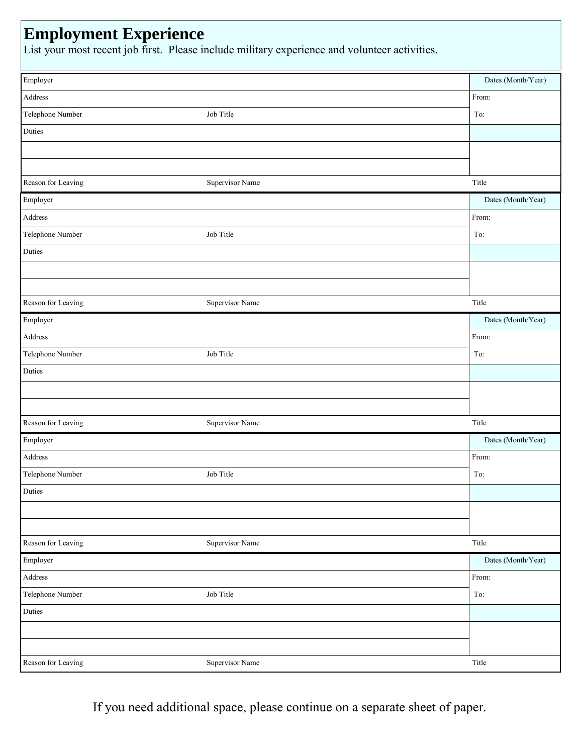# **Employment Experience**

List your most recent job first. Please include military experience and volunteer activities.

| Employer           |                 | Dates (Month/Year) |
|--------------------|-----------------|--------------------|
| Address            |                 | From:              |
| Telephone Number   | Job Title       | To:                |
| Duties             |                 |                    |
|                    |                 |                    |
|                    |                 |                    |
| Reason for Leaving | Supervisor Name | Title              |
| Employer           |                 | Dates (Month/Year) |
| Address            |                 | From:              |
| Telephone Number   | Job Title       | To:                |
| Duties             |                 |                    |
|                    |                 |                    |
|                    |                 |                    |
| Reason for Leaving | Supervisor Name | Title              |
| Employer           |                 | Dates (Month/Year) |
| Address            |                 | From:              |
| Telephone Number   | Job Title       | To:                |
| Duties             |                 |                    |
|                    |                 |                    |
|                    |                 |                    |
| Reason for Leaving | Supervisor Name | Title              |
| Employer           |                 | Dates (Month/Year) |
| Address            |                 | From:              |
| Telephone Number   | Job Title       | To:                |
| Duties             |                 |                    |
|                    |                 |                    |
|                    |                 |                    |
| Reason for Leaving | Supervisor Name | Title              |
| Employer           |                 | Dates (Month/Year) |
| Address            |                 | From:              |
| Telephone Number   | Job Title       | To:                |
| Duties             |                 |                    |
|                    |                 |                    |
|                    |                 |                    |
| Reason for Leaving | Supervisor Name | Title              |

If you need additional space, please continue on a separate sheet of paper.